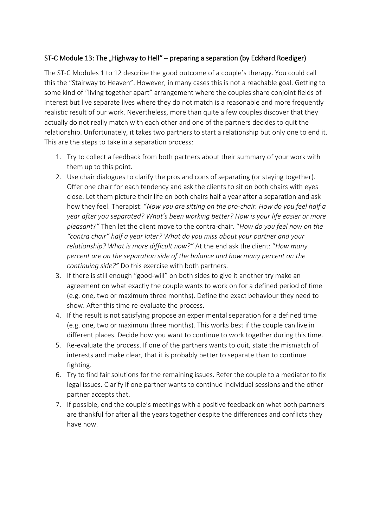## ST-C Module 13: The "Highway to Hell" – preparing a separation (by Eckhard Roediger)

The ST-C Modules 1 to 12 describe the good outcome of a couple's therapy. You could call this the "Stairway to Heaven". However, in many cases this is not a reachable goal. Getting to some kind of "living together apart" arrangement where the couples share conjoint fields of interest but live separate lives where they do not match is a reasonable and more frequently realistic result of our work. Nevertheless, more than quite a few couples discover that they actually do not really match with each other and one of the partners decides to quit the relationship. Unfortunately, it takes two partners to start a relationship but only one to end it. This are the steps to take in a separation process:

- 1. Try to collect a feedback from both partners about their summary of your work with them up to this point.
- 2. Use chair dialogues to clarify the pros and cons of separating (or staying together). Offer one chair for each tendency and ask the clients to sit on both chairs with eyes close. Let them picture their life on both chairs half a year after a separation and ask how they feel. Therapist: "*Now you are sitting on the pro-chair. How do you feel half a year after you separated? What's been working better? How is your life easier or more pleasant?"* Then let the client move to the contra-chair. "*How do you feel now on the "contra chair" half a year later? What do you miss about your partner and your relationship? What is more difficult now?"* At the end ask the client: "*How many percent are on the separation side of the balance and how many percent on the continuing side?"* Do this exercise with both partners.
- 3. If there is still enough "good-will" on both sides to give it another try make an agreement on what exactly the couple wants to work on for a defined period of time (e.g. one, two or maximum three months). Define the exact behaviour they need to show. After this time re-evaluate the process.
- 4. If the result is not satisfying propose an experimental separation for a defined time (e.g. one, two or maximum three months). This works best if the couple can live in different places. Decide how you want to continue to work together during this time.
- 5. Re-evaluate the process. If one of the partners wants to quit, state the mismatch of interests and make clear, that it is probably better to separate than to continue fighting.
- 6. Try to find fair solutions for the remaining issues. Refer the couple to a mediator to fix legal issues. Clarify if one partner wants to continue individual sessions and the other partner accepts that.
- 7. If possible, end the couple's meetings with a positive feedback on what both partners are thankful for after all the years together despite the differences and conflicts they have now.